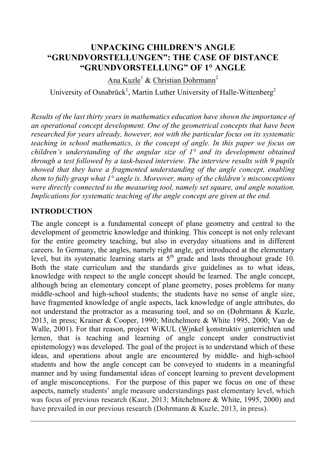# **UNPACKING CHILDREN'S ANGLE "GRUNDVORSTELLUNGEN": THE CASE OF DISTANCE "GRUNDVORSTELLUNG" OF 1° ANGLE**

Ana Kuzle<sup>1</sup> & Christian Dohrmann<sup>2</sup>

University of Osnabrück<sup>1</sup>, Martin Luther University of Halle-Wittenberg<sup>2</sup>

*Results of the last thirty years in mathematics education have shown the importance of an operational concept development. One of the geometrical concepts that have been researched for years already, however, not with the particular focus on its systematic teaching in school mathematics, is the concept of angle. In this paper we focus on children's understanding of the angular size of 1° and its development obtained through a test followed by a task-based interview. The interview results with 9 pupils showed that they have a fragmented understanding of the angle concept, enabling them to fully grasp what 1° angle is. Moreover, many of the children's misconceptions were directly connected to the measuring tool, namely set square, and angle notation. Implications for systematic teaching of the angle concept are given at the end.*

### **INTRODUCTION**

The angle concept is a fundamental concept of plane geometry and central to the development of geometric knowledge and thinking. This concept is not only relevant for the entire geometry teaching, but also in everyday situations and in different careers. In Germany, the angles, namely right angle, get introduced at the elementary level, but its systematic learning starts at  $5<sup>th</sup>$  grade and lasts throughout grade 10. Both the state curriculum and the standards give guidelines as to what ideas, knowledge with respect to the angle concept should be learned. The angle concept, although being an elementary concept of plane geometry, poses problems for many middle-school and high-school students; the students have no sense of angle size, have fragmented knowledge of angle aspects, lack knowledge of angle attributes, do not understand the protractor as a measuring tool, and so on (Dohrmann & Kuzle, 2013, in press; Krainer & Cooper, 1990; Mitchelmore & White 1995, 2000; Van de Walle, 2001). For that reason, project WiKUL (Winkel konstruktiv unterrichten und lernen, that is teaching and learning of angle concept under constructivist epistemology) was developed. The goal of the project is to understand which of these ideas, and operations about angle are encountered by middle- and high-school students and how the angle concept can be conveyed to students in a meaningful manner and by using fundamental ideas of concept learning to prevent development of angle misconceptions. For the purpose of this paper we focus on one of these aspects, namely students' angle measure understandings past elementary level, which was focus of previous research (Kaur, 2013; Mitchelmore & White, 1995, 2000) and have prevailed in our previous research (Dohrmann & Kuzle, 2013, in press).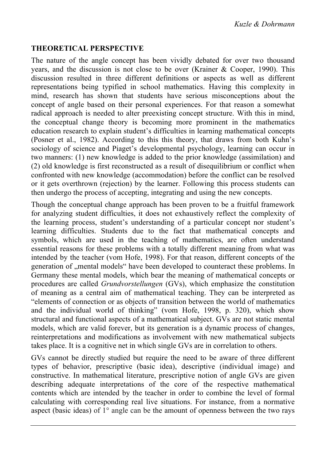### **THEORETICAL PERSPECTIVE**

The nature of the angle concept has been vividly debated for over two thousand years, and the discussion is not close to be over (Krainer & Cooper, 1990). This discussion resulted in three different definitions or aspects as well as different representations being typified in school mathematics. Having this complexity in mind, research has shown that students have serious misconceptions about the concept of angle based on their personal experiences. For that reason a somewhat radical approach is needed to alter preexisting concept structure. With this in mind, the conceptual change theory is becoming more prominent in the mathematics education research to explain student's difficulties in learning mathematical concepts (Posner et al., 1982). According to this this theory, that draws from both Kuhn's sociology of science and Piaget's developmental psychology, learning can occur in two manners: (1) new knowledge is added to the prior knowledge (assimilation) and (2) old knowledge is first reconstructed as a result of disequilibrium or conflict when confronted with new knowledge (accommodation) before the conflict can be resolved or it gets overthrown (rejection) by the learner. Following this process students can then undergo the process of accepting, integrating and using the new concepts.

Though the conceptual change approach has been proven to be a fruitful framework for analyzing student difficulties, it does not exhaustively reflect the complexity of the learning process, student's understanding of a particular concept nor student's learning difficulties. Students due to the fact that mathematical concepts and symbols, which are used in the teaching of mathematics, are often understand essential reasons for these problems with a totally different meaning from what was intended by the teacher (vom Hofe, 1998). For that reason, different concepts of the generation of , mental models" have been developed to counteract these problems. In Germany these mental models, which bear the meaning of mathematical concepts or procedures are called *Grundvorstellungen* (GVs), which emphasize the constitution of meaning as a central aim of mathematical teaching. They can be interpreted as "elements of connection or as objects of transition between the world of mathematics and the individual world of thinking" (vom Hofe, 1998, p. 320), which show structural and functional aspects of a mathematical subject. GVs are not static mental models, which are valid forever, but its generation is a dynamic process of changes, reinterpretations and modifications as involvement with new mathematical subjects takes place. It is a cognitive net in which single GVs are in correlation to others.

GVs cannot be directly studied but require the need to be aware of three different types of behavior, prescriptive (basic idea), descriptive (individual image) and constructive. In mathematical literature, prescriptive notion of angle GVs are given describing adequate interpretations of the core of the respective mathematical contents which are intended by the teacher in order to combine the level of formal calculating with corresponding real live situations. For instance, from a normative aspect (basic ideas) of 1° angle can be the amount of openness between the two rays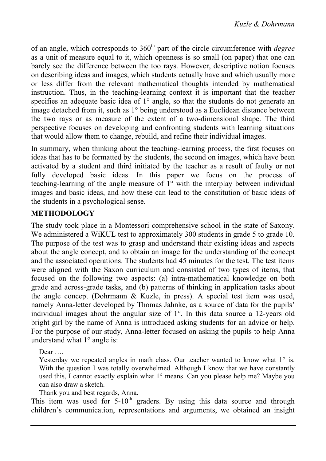of an angle, which corresponds to 360<sup>th</sup> part of the circle circumference with *degree* as a unit of measure equal to it, which openness is so small (on paper) that one can barely see the difference between the too rays. However, descriptive notion focuses on describing ideas and images, which students actually have and which usually more or less differ from the relevant mathematical thoughts intended by mathematical instruction. Thus, in the teaching-learning context it is important that the teacher specifies an adequate basic idea of 1<sup>°</sup> angle, so that the students do not generate an image detached from it, such as 1° being understood as a Euclidean distance between the two rays or as measure of the extent of a two-dimensional shape. The third perspective focuses on developing and confronting students with learning situations that would allow them to change, rebuild, and refine their individual images.

In summary, when thinking about the teaching-learning process, the first focuses on ideas that has to be formatted by the students, the second on images, which have been activated by a student and third initiated by the teacher as a result of faulty or not fully developed basic ideas. In this paper we focus on the process of teaching-learning of the angle measure of 1° with the interplay between individual images and basic ideas, and how these can lead to the constitution of basic ideas of the students in a psychological sense.

### **METHODOLOGY**

The study took place in a Montessori comprehensive school in the state of Saxony. We administered a WiKUL test to approximately 300 students in grade 5 to grade 10. The purpose of the test was to grasp and understand their existing ideas and aspects about the angle concept, and to obtain an image for the understanding of the concept and the associated operations. The students had 45 minutes for the test. The test items were aligned with the Saxon curriculum and consisted of two types of items, that focused on the following two aspects: (a) intra-mathematical knowledge on both grade and across-grade tasks, and (b) patterns of thinking in application tasks about the angle concept (Dohrmann & Kuzle, in press). A special test item was used, namely Anna-letter developed by Thomas Jahnke, as a source of data for the pupils' individual images about the angular size of 1°. In this data source a 12-years old bright girl by the name of Anna is introduced asking students for an advice or help. For the purpose of our study, Anna-letter focused on asking the pupils to help Anna understand what 1° angle is:

Dear …,

Yesterday we repeated angles in math class. Our teacher wanted to know what 1° is. With the question I was totally overwhelmed. Although I know that we have constantly used this, I cannot exactly explain what 1° means. Can you please help me? Maybe you can also draw a sketch.

Thank you and best regards, Anna.

This item was used for  $5{\text -}10^{\text{th}}$  graders. By using this data source and through children's communication, representations and arguments, we obtained an insight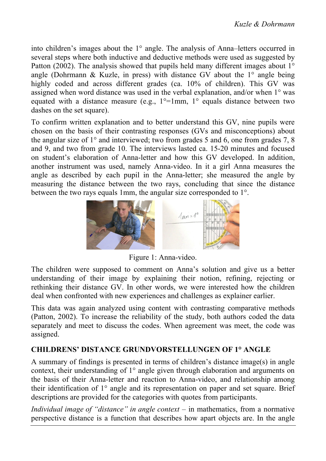into children's images about the 1° angle. The analysis of Anna–letters occurred in several steps where both inductive and deductive methods were used as suggested by Patton (2002). The analysis showed that pupils held many different images about 1<sup>°</sup> angle (Dohrmann & Kuzle, in press) with distance GV about the  $1^{\circ}$  angle being highly coded and across different grades (ca. 10% of children). This GV was assigned when word distance was used in the verbal explanation, and/or when 1° was equated with a distance measure (e.g.,  $1^{\circ}$ =1mm,  $1^{\circ}$  equals distance between two dashes on the set square).

To confirm written explanation and to better understand this GV, nine pupils were chosen on the basis of their contrasting responses (GVs and misconceptions) about the angular size of 1° and interviewed; two from grades 5 and 6, one from grades 7, 8 and 9, and two from grade 10. The interviews lasted ca. 15-20 minutes and focused on student's elaboration of Anna-letter and how this GV developed. In addition, another instrument was used, namely Anna-video. In it a girl Anna measures the angle as described by each pupil in the Anna-letter; she measured the angle by measuring the distance between the two rays, concluding that since the distance between the two rays equals 1mm, the angular size corresponded to 1°.



Figure 1: Anna-video.

The children were supposed to comment on Anna's solution and give us a better understanding of their image by explaining their notion, refining, rejecting or rethinking their distance GV. In other words, we were interested how the children deal when confronted with new experiences and challenges as explainer earlier.

This data was again analyzed using content with contrasting comparative methods (Patton, 2002). To increase the reliability of the study, both authors coded the data separately and meet to discuss the codes. When agreement was meet, the code was assigned.

### **CHILDRENS' DISTANCE GRUNDVORSTELLUNGEN OF 1° ANGLE**

A summary of findings is presented in terms of children's distance image(s) in angle context, their understanding of 1° angle given through elaboration and arguments on the basis of their Anna-letter and reaction to Anna-video, and relationship among their identification of 1° angle and its representation on paper and set square. Brief descriptions are provided for the categories with quotes from participants.

*Individual image of "distance" in angle context* – in mathematics, from a normative perspective distance is a function that describes how apart objects are. In the angle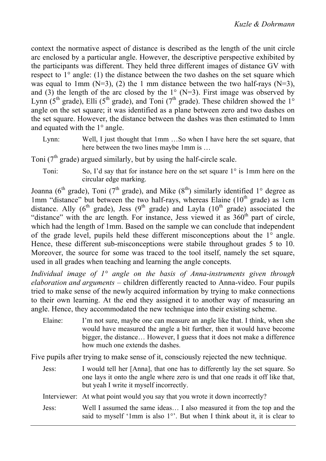context the normative aspect of distance is described as the length of the unit circle arc enclosed by a particular angle. However, the descriptive perspective exhibited by the participants was different. They held three different images of distance GV with respect to 1° angle: (1) the distance between the two dashes on the set square which was equal to 1mm ( $N=3$ ), (2) the 1 mm distance between the two half-rays ( $N=3$ ), and (3) the length of the arc closed by the  $1^{\circ}$  (N=3). First image was observed by Lynn  $(5<sup>th</sup> grade)$ , Elli  $(5<sup>th</sup> grade)$ , and Toni  $(7<sup>th</sup> grade)$ . These children showed the 1<sup>°</sup> angle on the set square; it was identified as a plane between zero and two dashes on the set square. However, the distance between the dashes was then estimated to 1mm and equated with the 1° angle.

Lynn: Well, I just thought that 1mm …So when I have here the set square, that here between the two lines maybe 1mm is …

Toni  $(7<sup>th</sup> \text{ grade})$  argued similarly, but by using the half-circle scale.

Toni: So, I'd say that for instance here on the set square 1° is 1mm here on the circular edge marking.

Joanna ( $6<sup>th</sup>$  grade), Toni ( $7<sup>th</sup>$  grade), and Mike ( $8<sup>th</sup>$ ) similarly identified 1° degree as 1mm "distance" but between the two half-rays, whereas Elaine  $(10<sup>th</sup> \text{ grade})$  as 1cm distance. Ally  $(6^{th}$  grade), Jess  $(9^{th}$  grade) and Layla  $(10^{th}$  grade) associated the "distance" with the arc length. For instance, Jess viewed it as  $360<sup>th</sup>$  part of circle, which had the length of 1mm. Based on the sample we can conclude that independent of the grade level, pupils held these different misconceptions about the 1° angle. Hence, these different sub-misconceptions were stabile throughout grades 5 to 10. Moreover, the source for some was traced to the tool itself, namely the set square, used in all grades when teaching and learning the angle concepts.

*Individual image of 1° angle on the basis of Anna-instruments given through elaboration and arguments* – children differently reacted to Anna-video. Four pupils tried to make sense of the newly acquired information by trying to make connections to their own learning. At the end they assigned it to another way of measuring an angle. Hence, they accommodated the new technique into their existing scheme.

Elaine: I'm not sure, maybe one can measure an angle like that. I think, when she would have measured the angle a bit further, then it would have become bigger, the distance… However, I guess that it does not make a difference how much one extends the dashes.

Five pupils after trying to make sense of it, consciously rejected the new technique.

Jess: I would tell her [Anna], that one has to differently lay the set square. So one lays it onto the angle where zero is und that one reads it off like that, but yeah I write it myself incorrectly.

Interviewer: At what point would you say that you wrote it down incorrectly?

Jess: Well I assumed the same ideas… I also measured it from the top and the said to myself '1mm is also 1°'. But when I think about it, it is clear to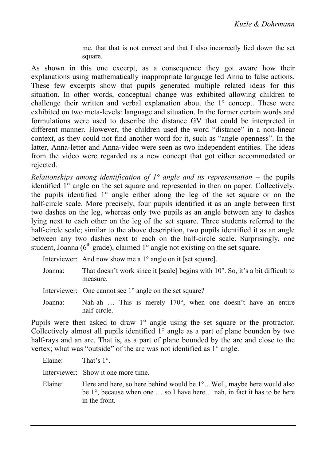me, that that is not correct and that I also incorrectly lied down the set square.

As shown in this one excerpt, as a consequence they got aware how their explanations using mathematically inappropriate language led Anna to false actions. These few excerpts show that pupils generated multiple related ideas for this situation. In other words, conceptual change was exhibited allowing children to challenge their written and verbal explanation about the 1° concept. These were exhibited on two meta-levels: language and situation. In the former certain words and formulations were used to describe the distance GV that could be interpreted in different manner. However, the children used the word "distance" in a non-linear context, as they could not find another word for it, such as "angle openness". In the latter, Anna-letter and Anna-video were seen as two independent entities. The ideas from the video were regarded as a new concept that got either accommodated or rejected.

*Relationships among identification of 1<sup>o</sup> angle and its representation* – the pupils identified 1° angle on the set square and represented in then on paper. Collectively, the pupils identified 1° angle either along the leg of the set square or on the half-circle scale. More precisely, four pupils identified it as an angle between first two dashes on the leg, whereas only two pupils as an angle between any to dashes lying next to each other on the leg of the set square. Three students referred to the half-circle scale; similar to the above description, two pupils identified it as an angle between any two dashes next to each on the half-circle scale. Surprisingly, one student, Joanna ( $6<sup>th</sup>$  grade), claimed  $1<sup>°</sup>$  angle not existing on the set square.

|  | Interviewer: And now show me a $1^{\circ}$ angle on it [set square]. |  |  |
|--|----------------------------------------------------------------------|--|--|
|--|----------------------------------------------------------------------|--|--|

| Joanna: | That doesn't work since it [scale] begins with $10^{\circ}$ . So, it's a bit difficult to |
|---------|-------------------------------------------------------------------------------------------|
|         | measure.                                                                                  |
|         |                                                                                           |

Interviewer: One cannot see 1<sup>°</sup> angle on the set square?

Joanna: Nah-ah … This is merely 170°, when one doesn't have an entire half-circle.

Pupils were then asked to draw 1° angle using the set square or the protractor. Collectively almost all pupils identified 1° angle as a part of plane bounden by two half-rays and an arc. That is, as a part of plane bounded by the arc and close to the vertex; what was "outside" of the arc was not identified as 1° angle.

Elaine: That's 1°. Interviewer: Show it one more time. Elaine: Here and here, so here behind would be 1°...Well, maybe here would also be 1°, because when one … so I have here… nah, in fact it has to be here in the front.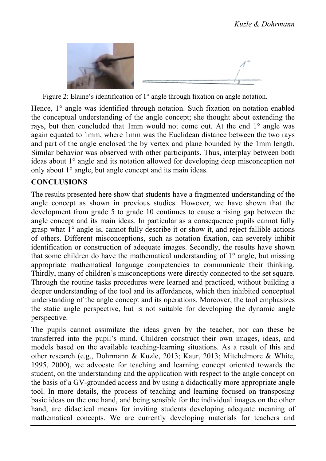

Figure 2: Elaine's identification of 1° angle through fixation on angle notation.

Hence, 1° angle was identified through notation. Such fixation on notation enabled the conceptual understanding of the angle concept; she thought about extending the rays, but then concluded that 1mm would not come out. At the end 1° angle was again equated to 1mm, where 1mm was the Euclidean distance between the two rays and part of the angle enclosed the by vertex and plane bounded by the 1mm length. Similar behavior was observed with other participants. Thus, interplay between both ideas about 1° angle and its notation allowed for developing deep misconception not only about 1° angle, but angle concept and its main ideas.

## **CONCLUSIONS**

The results presented here show that students have a fragmented understanding of the angle concept as shown in previous studies. However, we have shown that the development from grade 5 to grade 10 continues to cause a rising gap between the angle concept and its main ideas. In particular as a consequence pupils cannot fully grasp what 1° angle is, cannot fully describe it or show it, and reject fallible actions of others. Different misconceptions, such as notation fixation, can severely inhibit identification or construction of adequate images. Secondly, the results have shown that some children do have the mathematical understanding of  $1^{\circ}$  angle, but missing appropriate mathematical language competencies to communicate their thinking. Thirdly, many of children's misconceptions were directly connected to the set square. Through the routine tasks procedures were learned and practiced, without building a deeper understanding of the tool and its affordances, which then inhibited conceptual understanding of the angle concept and its operations. Moreover, the tool emphasizes the static angle perspective, but is not suitable for developing the dynamic angle perspective.

The pupils cannot assimilate the ideas given by the teacher, nor can these be transferred into the pupil's mind. Children construct their own images, ideas, and models based on the available teaching-learning situations. As a result of this and other research (e.g., Dohrmann & Kuzle, 2013; Kaur, 2013; Mitchelmore & White, 1995, 2000), we advocate for teaching and learning concept oriented towards the student, on the understanding and the application with respect to the angle concept on the basis of a GV-grounded access and by using a didactically more appropriate angle tool. In more details, the process of teaching and learning focused on transposing basic ideas on the one hand, and being sensible for the individual images on the other hand, are didactical means for inviting students developing adequate meaning of mathematical concepts. We are currently developing materials for teachers and